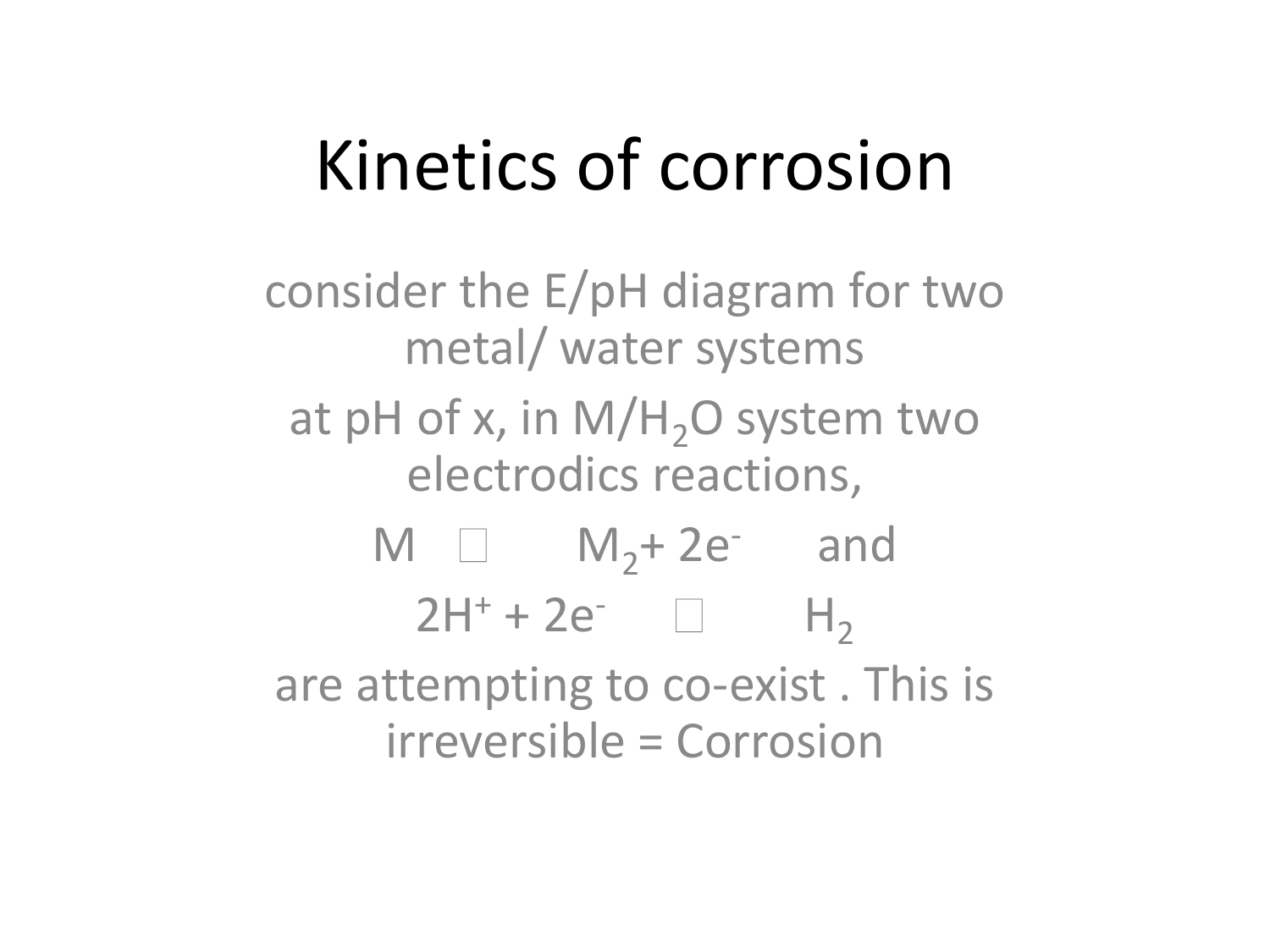#### Kinetics of corrosion

consider the E/pH diagram for two metal/ water systems at pH of x, in  $M/H<sub>2</sub>O$  system two electrodics reactions,  $M \Box$   $M_2+ 2e^-$  and  $2H^{+} + 2e^{-}$   $H_{2}$ are attempting to co-exist . This is irreversible = Corrosion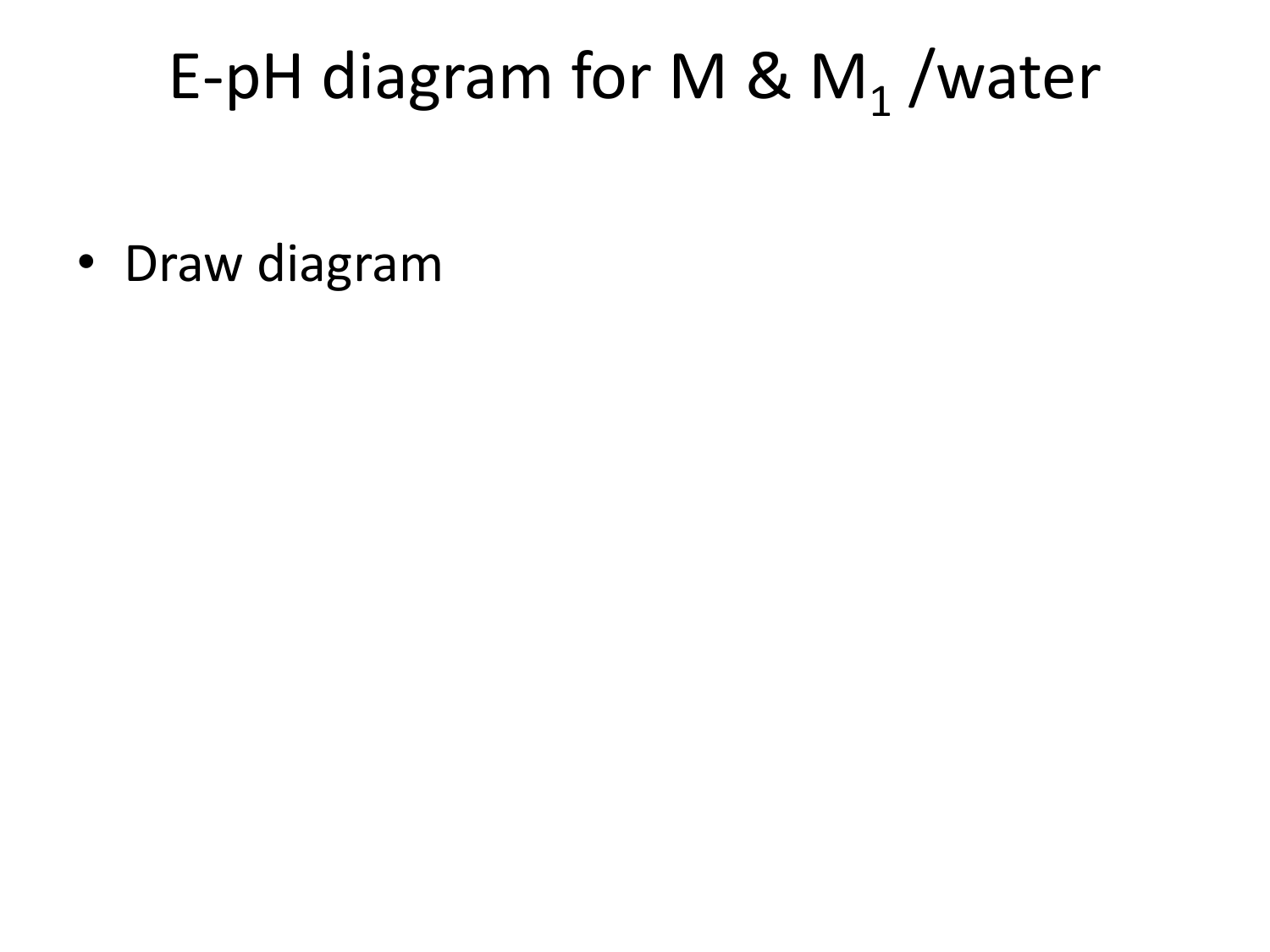# E-pH diagram for M &  $M_1$ /water

• Draw diagram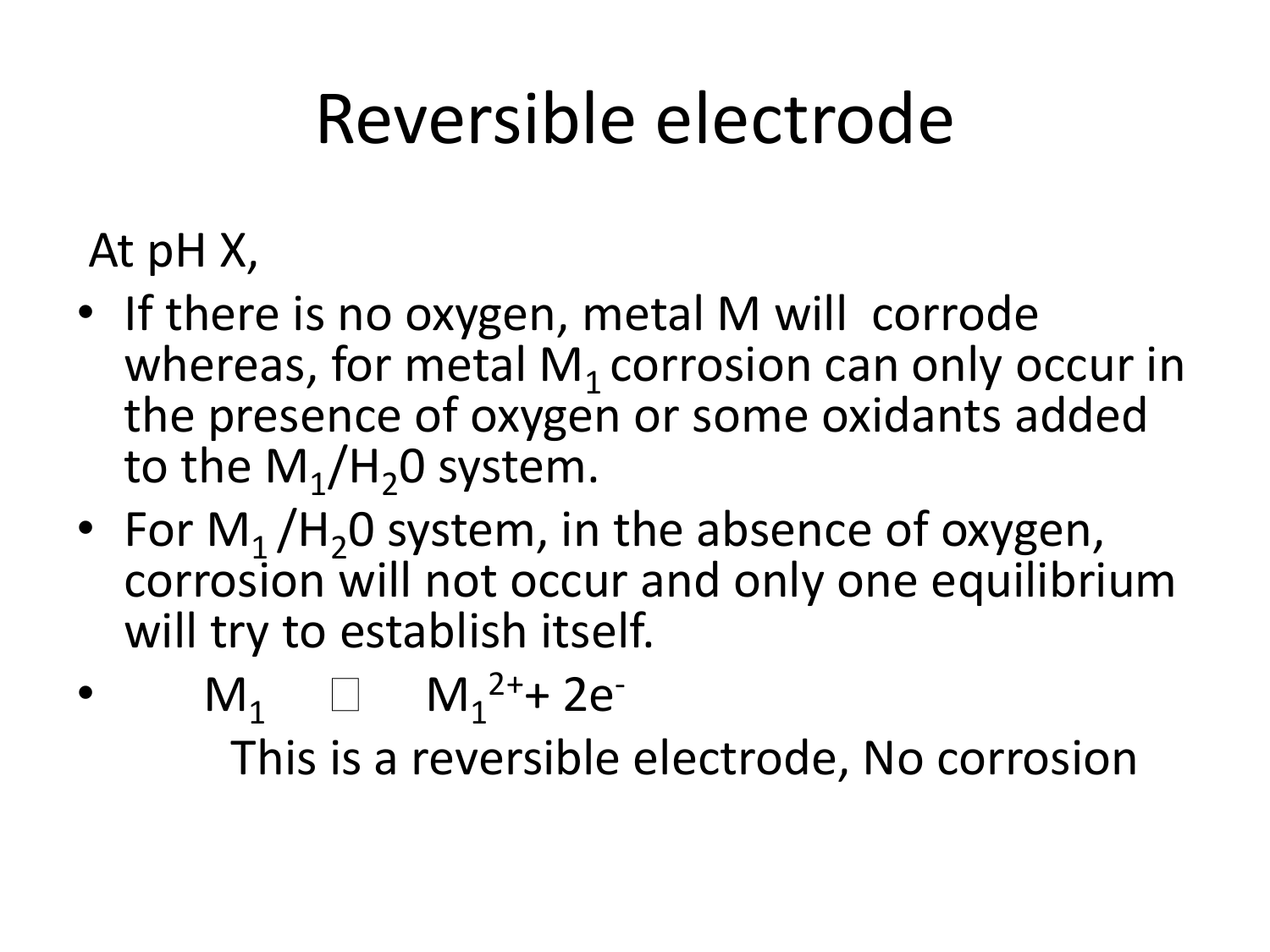## Reversible electrode

- At pH X,
- If there is no oxygen, metal M will corrode whereas, for metal  $M_1$  corrosion can only occur in the presence of oxygen or some oxidants added to the  $\mathsf{M}_1/\mathsf{H}_2$ 0 system.
- For  $M_1/H_20$  system, in the absence of oxygen, corrosion will not occur and only one equilibrium will try to establish itself.
- $M_1 \square M_1^{2+}$  + 2e<sup>-</sup> This is a reversible electrode, No corrosion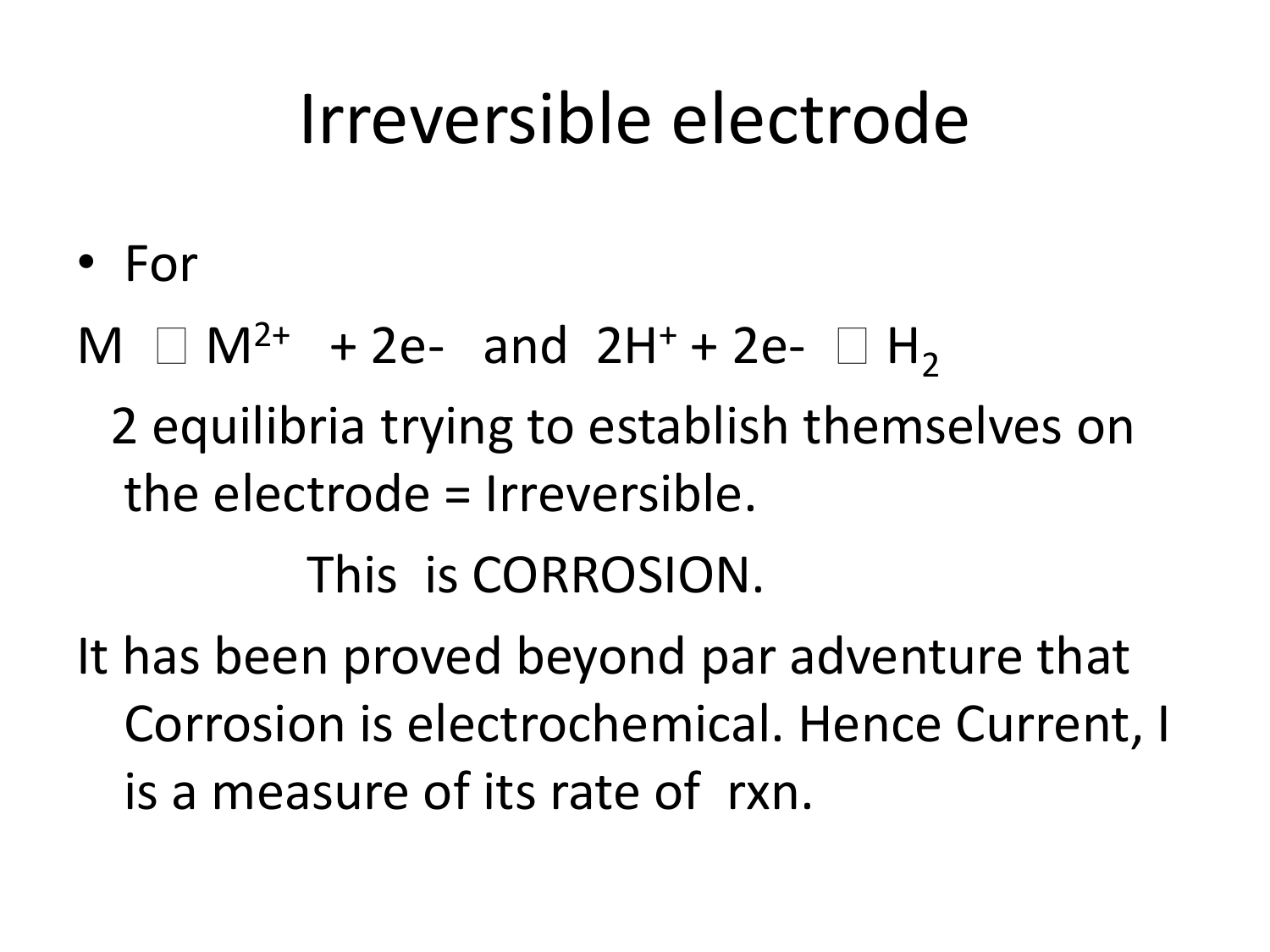#### Irreversible electrode

- For
- $M \Box M^{2+} + 2e$  and  $2H^{+} + 2e$   $\Box H_{2}$ 
	- 2 equilibria trying to establish themselves on the electrode = Irreversible.

This is CORROSION.

It has been proved beyond par adventure that Corrosion is electrochemical. Hence Current, I is a measure of its rate of rxn.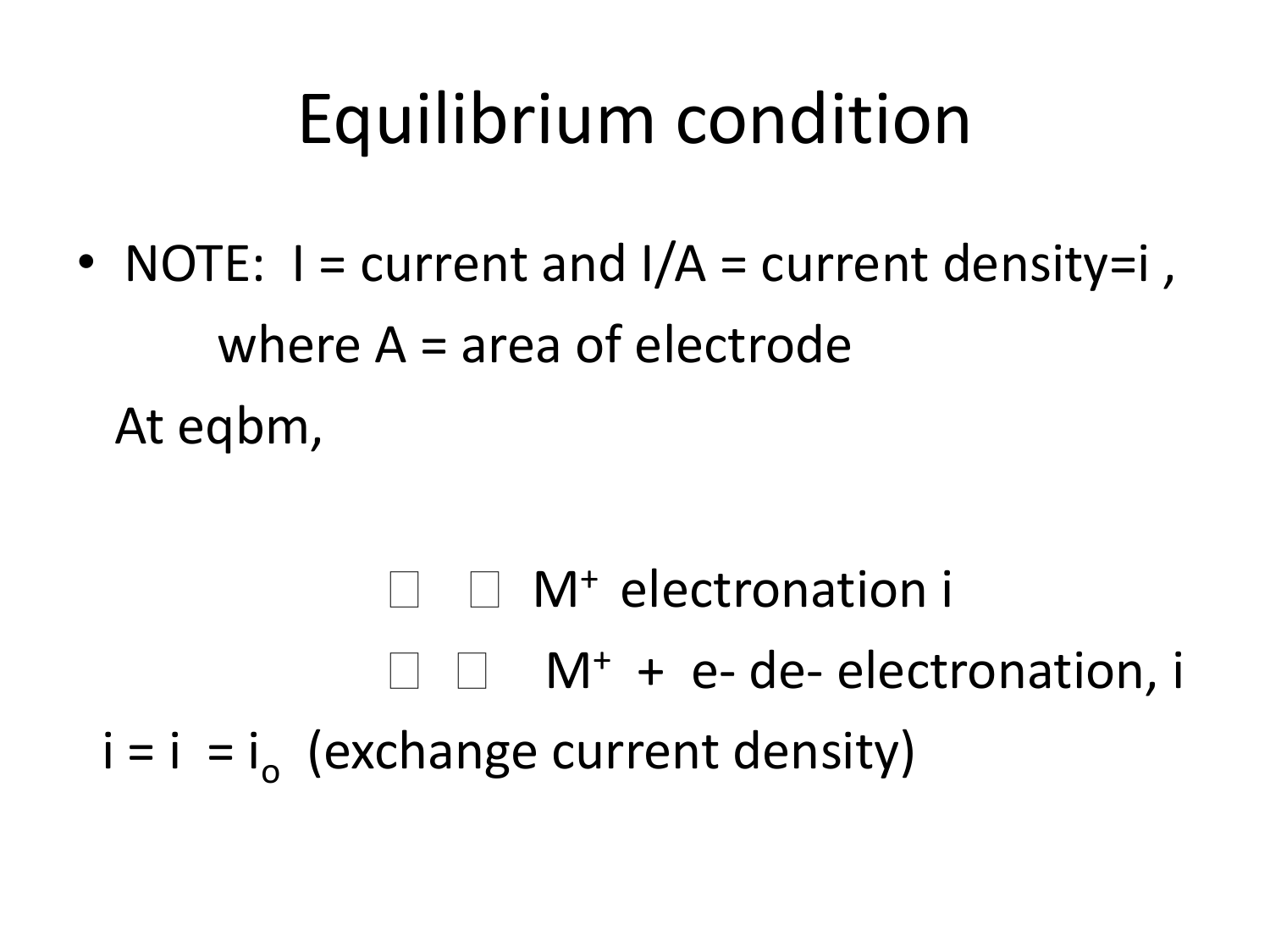#### Equilibrium condition

• NOTE:  $I = current$  and  $I/A = current$  density=i, where A = area of electrode At eqbm,

 $\Box$  M<sup>+</sup> electronation i  $\square$   $\square$   $M^+$  + e-de-electronation, i  $i = i$  =  $i<sub>o</sub>$  (exchange current density)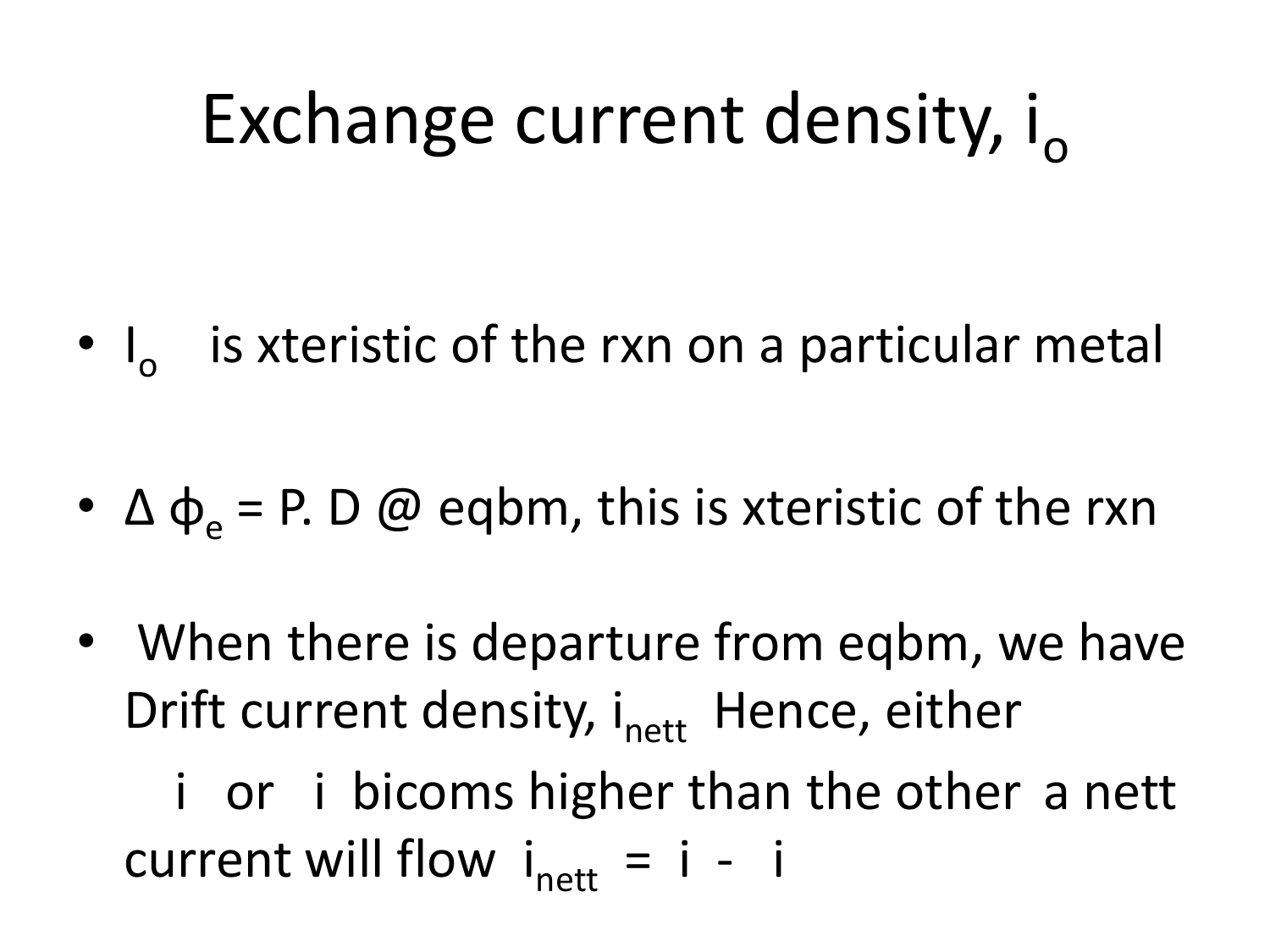## Exchange current density,  $i_{\alpha}$

•  $I_0$  is xteristic of the rxn on a particular metal

- $\Delta \varphi_{\alpha} = P. D \varnothing$  eqbm, this is xteristic of the rxn
- When there is departure from eqbm, we have Drift current density,  $i_{\text{net}}$  Hence, either

 i or i bicoms higher than the other a nett current will flow  $i_{\text{nett}} = i - i$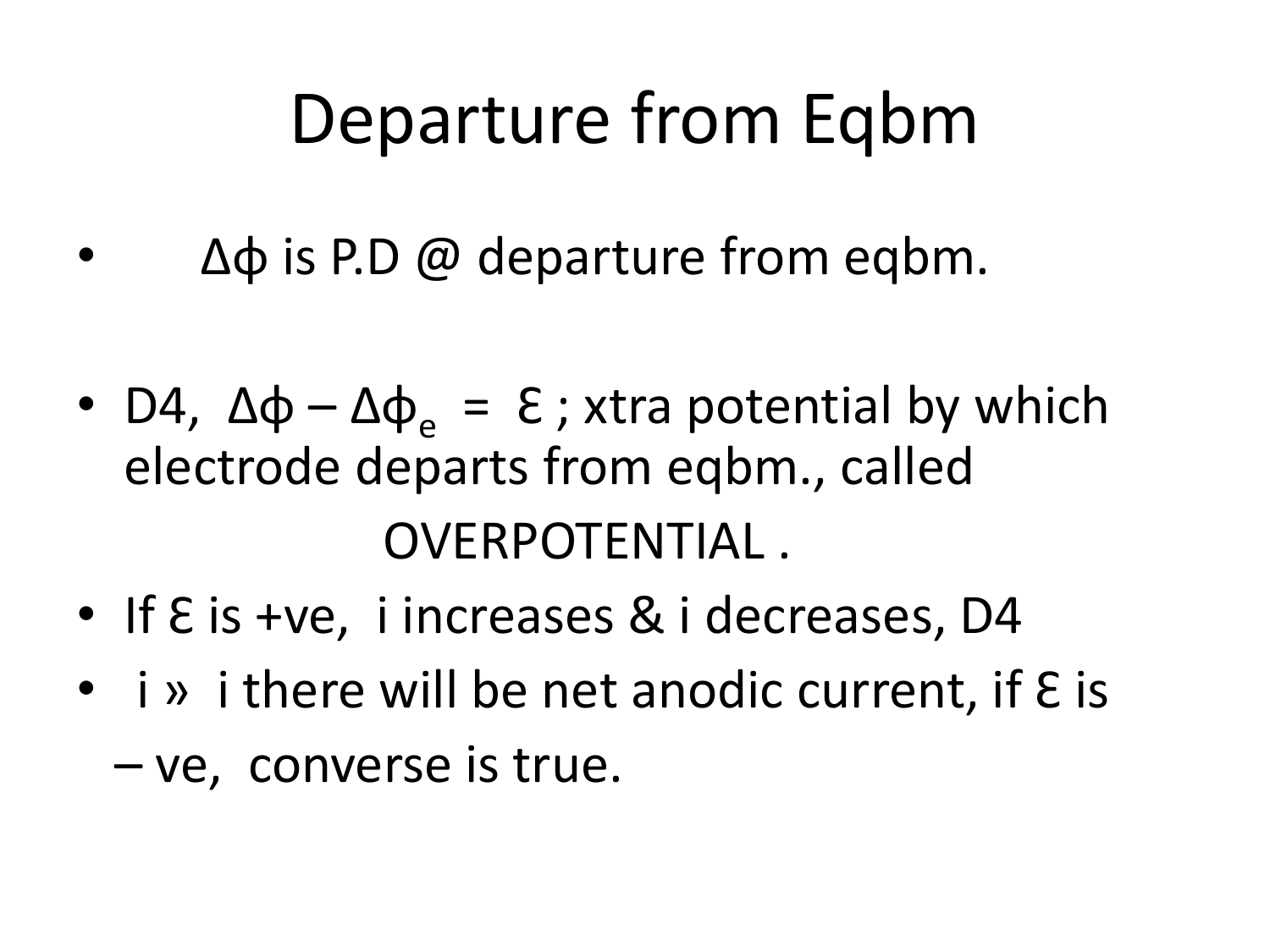## Departure from Eqbm

- $Δφ$  is P.D @ departure from eqbm.
- D4,  $\Delta \varphi \Delta \varphi_e = \varepsilon$ ; xtra potential by which electrode departs from eqbm., called OVERPOTENTIAL .
- If  $\epsilon$  is +ve, i increases & i decreases, D4
- $\bullet$  i » i there will be net anodic current, if  $\epsilon$  is
	- ve, converse is true.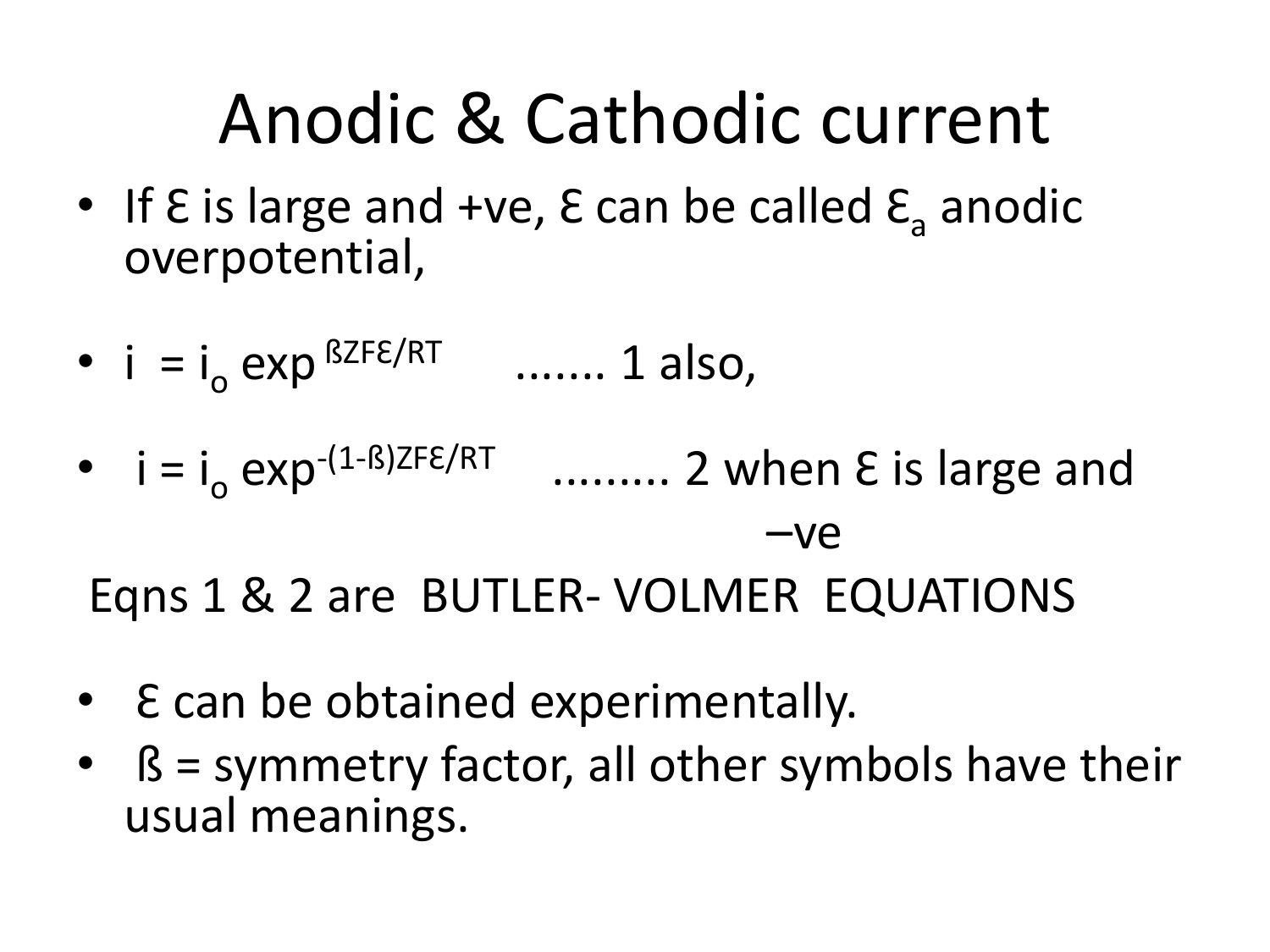#### Anodic & Cathodic current

- If  $\epsilon$  is large and +ve,  $\epsilon$  can be called  $\epsilon$ <sub>a</sub> anodic overpotential,
- $i = i_0$  exp  ${}^{BZFE/RT}$ ....... 1 also,
- $i = i_0 e^{-(1-\beta)ZFE/RT}$  ......... 2 when  $E$  is large and –ve Eqns 1 & 2 are BUTLER- VOLMER EQUATIONS
- E can be obtained experimentally.
- ß = symmetry factor, all other symbols have their usual meanings.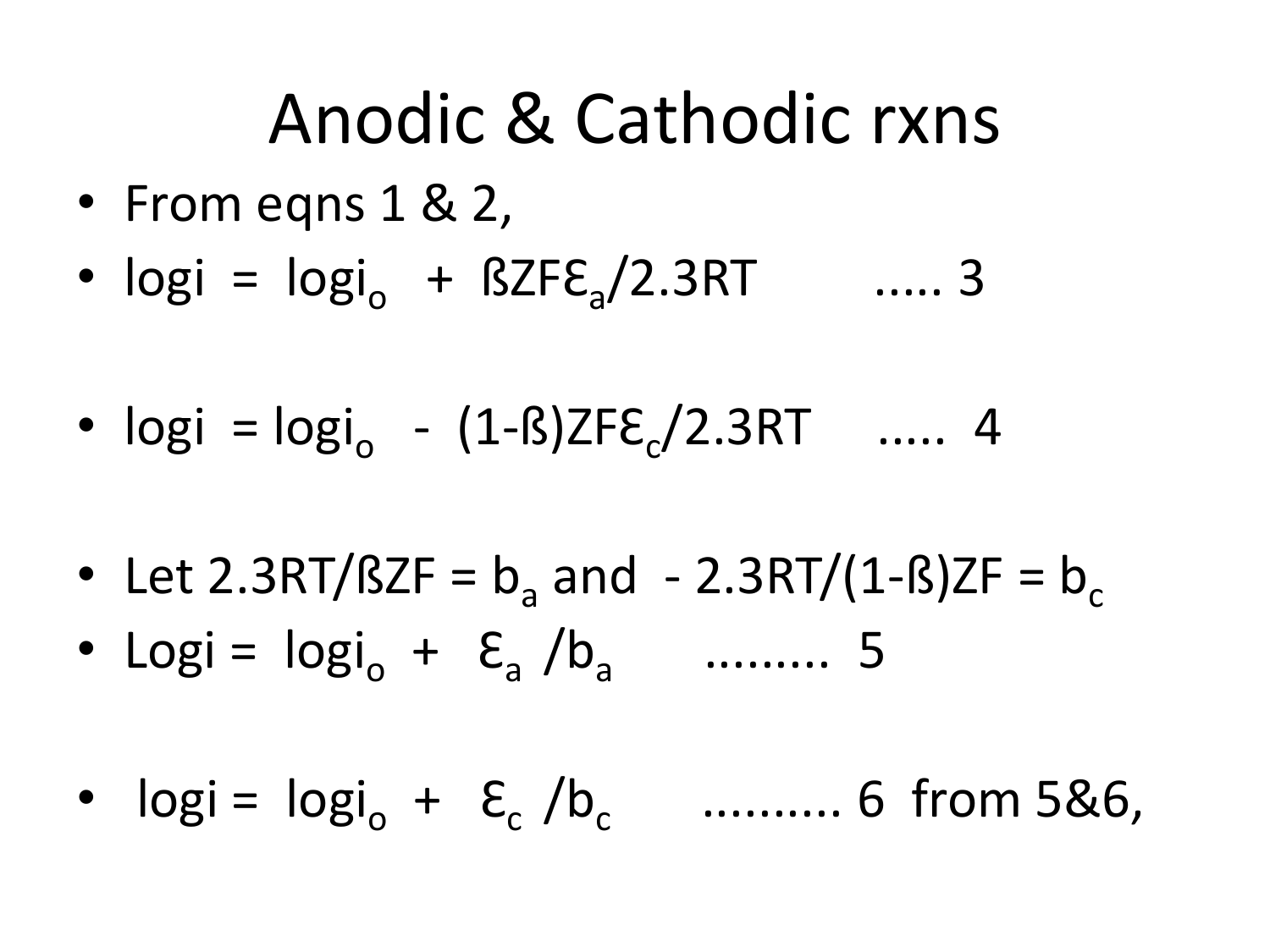#### Anodic & Cathodic rxns

- From eqns 1 & 2,
- $logi = logi_{o} + BZFE_{a}/2.3RT$  ..... 3
- $logi = logi_{o} (1 B)ZFE_{c}/2.3RT$  ..... 4
- Let 2.3RT/ $BZF = b_a$  and  $2.3RT/(1 B)ZF = b_c$
- Logi =  $\log i_{o} + \varepsilon_{a} / b_{a}$  ......... 5
- $logi = logi_0 + \varepsilon_c / b_c$  .......... 6 from 5&6,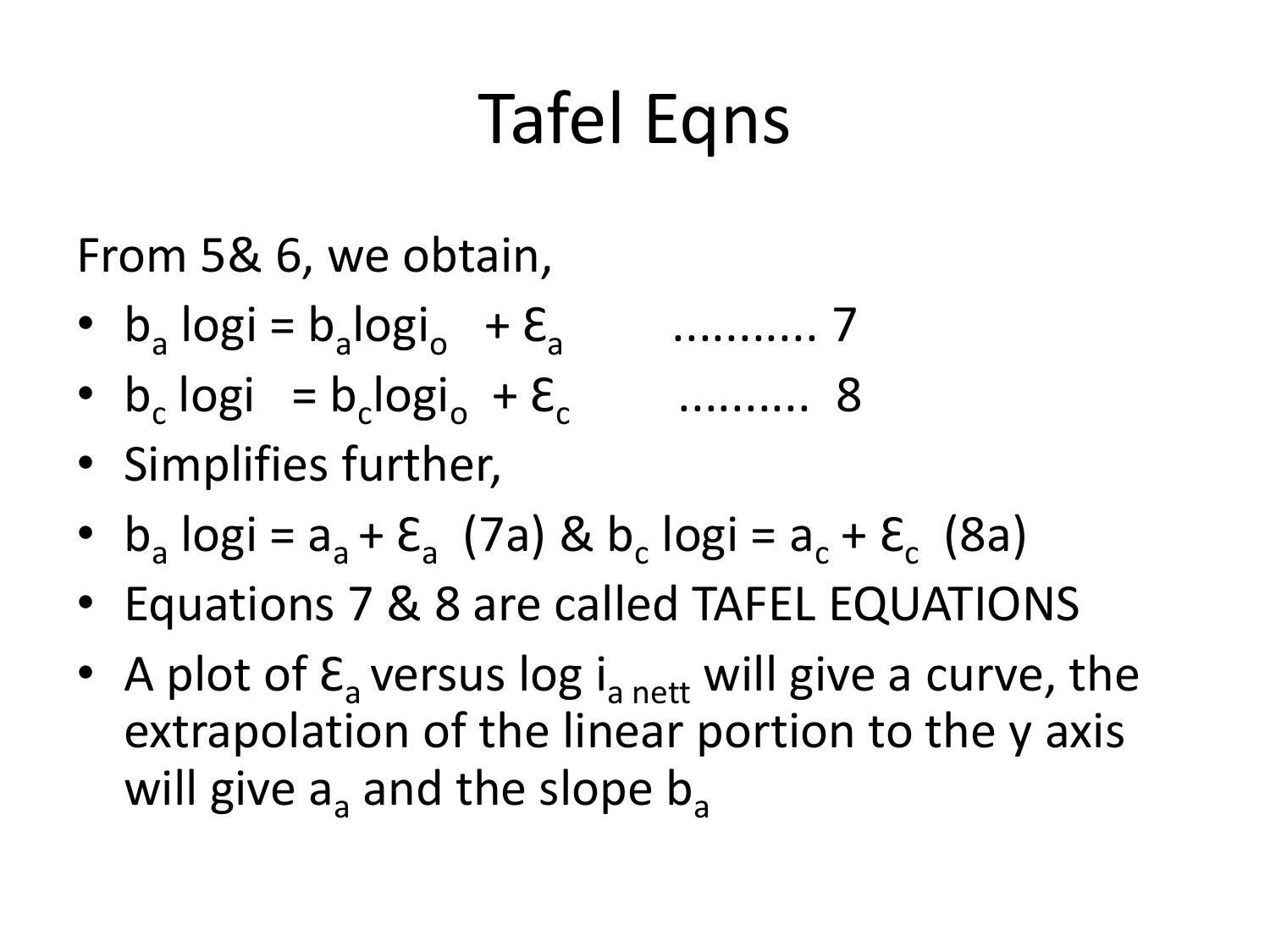## Tafel Eqns

From 5& 6, we obtain,

- $b_a \log i = b_a \log i_o + \varepsilon_a$ ........... 7
- $b_c \log i = b_c \log i_o + \varepsilon_c$ .......... 8
- Simplifies further,
- $b_a \log i = a_a + \varepsilon_a$  (7a) &  $b_c \log i = a_c + \varepsilon_c$  (8a)
- Equations 7 & 8 are called TAFEL EQUATIONS
- A plot of  $\epsilon$ <sub>a</sub> versus log i<sub>a nett</sub> will give a curve, the extrapolation of the linear portion to the y axis will give  $a_a$  and the slope  $b_a$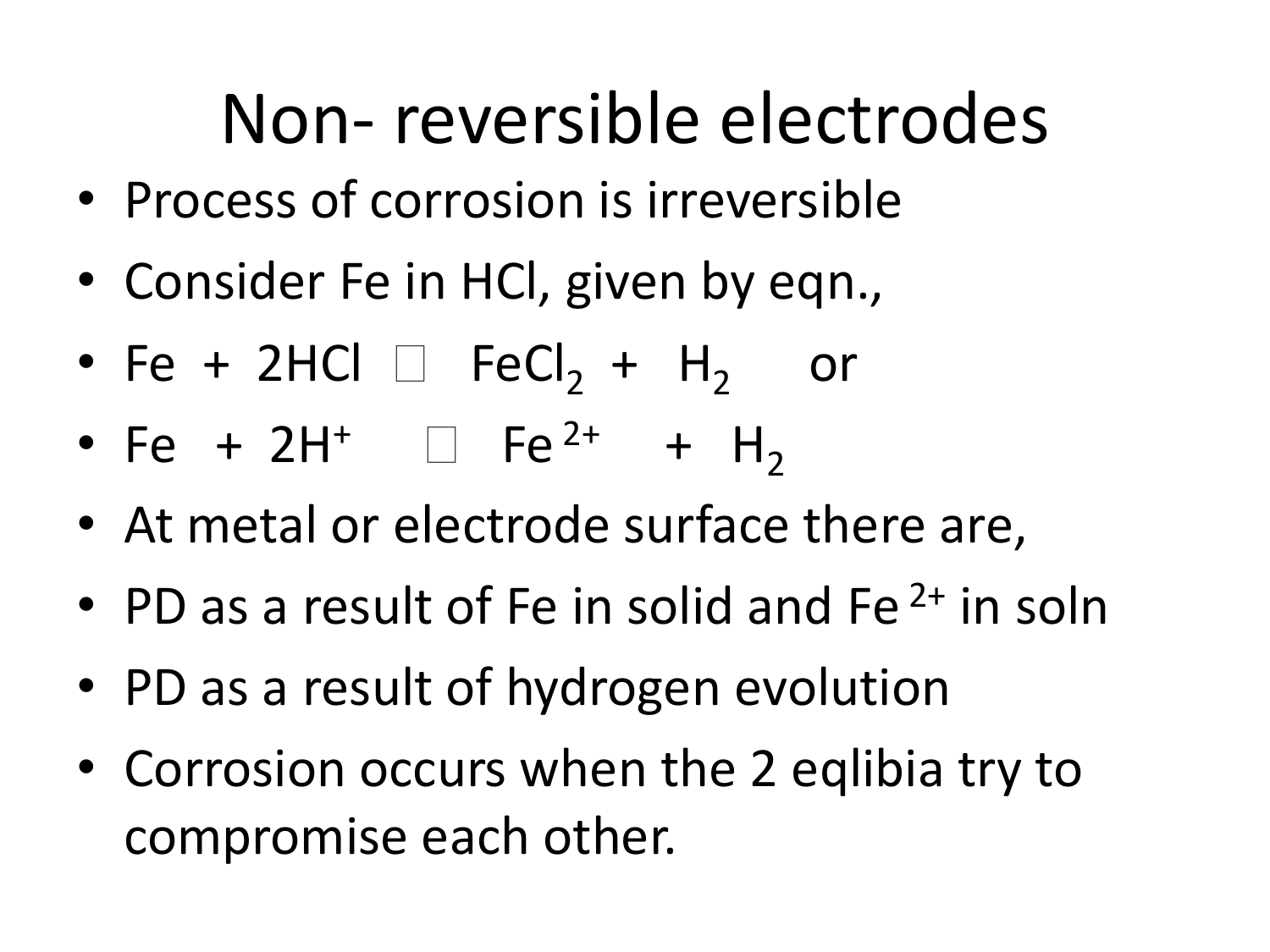## Non- reversible electrodes

- Process of corrosion is irreversible
- Consider Fe in HCl, given by eqn.,
- Fe + 2HCl  $\Box$  FeCl<sub>2</sub> + H<sub>2</sub> or
- Fe + 2H<sup>+</sup>  $\Box$  Fe<sup>2+</sup> + H<sub>2</sub>
- At metal or electrode surface there are,
- PD as a result of Fe in solid and Fe<sup> $2+$ </sup> in soln
- PD as a result of hydrogen evolution
- Corrosion occurs when the 2 eqlibia try to compromise each other.